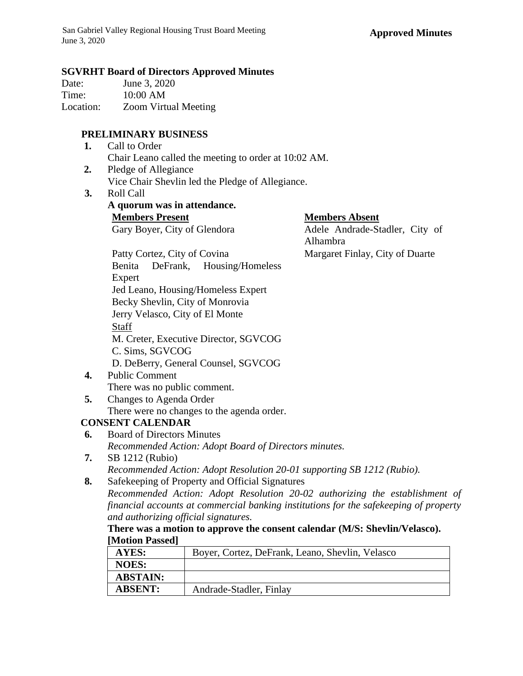#### **SGVRHT Board of Directors Approved Minutes**

| Date:     | June 3, 2020                |
|-----------|-----------------------------|
| Time:     | 10:00 AM                    |
| Location: | <b>Zoom Virtual Meeting</b> |

## **PRELIMINARY BUSINESS**

| 1. Call to Order                                     |
|------------------------------------------------------|
| Chair Leano called the meeting to order at 10:02 AM. |

- **2.** Pledge of Allegiance Vice Chair Shevlin led the Pledge of Allegiance.
- **3.** Roll Call

# **A quorum was in attendance.**

#### **Members Present Members Absent**

Gary Boyer, City of Glendora Adele Andrade-Stadler, City of Alhambra

Patty Cortez, City of Covina Margaret Finlay, City of Duarte Benita DeFrank, Housing/Homeless Expert Jed Leano, Housing/Homeless Expert Becky Shevlin, City of Monrovia Jerry Velasco, City of El Monte **Staff** M. Creter, Executive Director, SGVCOG C. Sims, SGVCOG D. DeBerry, General Counsel, SGVCOG

- **4.** Public Comment There was no public comment.
- **5.** Changes to Agenda Order There were no changes to the agenda order.

## **CONSENT CALENDAR**

- **6.** Board of Directors Minutes *Recommended Action: Adopt Board of Directors minutes.*
- **7.** SB 1212 (Rubio) *Recommended Action: Adopt Resolution 20-01 supporting SB 1212 (Rubio).*
- **8.** Safekeeping of Property and Official Signatures

*Recommended Action: Adopt Resolution 20-02 authorizing the establishment of financial accounts at commercial banking institutions for the safekeeping of property and authorizing official signatures.* 

#### **There was a motion to approve the consent calendar (M/S: Shevlin/Velasco). [Motion Passed]**

| AYES:           | Boyer, Cortez, DeFrank, Leano, Shevlin, Velasco |
|-----------------|-------------------------------------------------|
| <b>NOES:</b>    |                                                 |
| <b>ABSTAIN:</b> |                                                 |
| <b>ABSENT:</b>  | Andrade-Stadler, Finlay                         |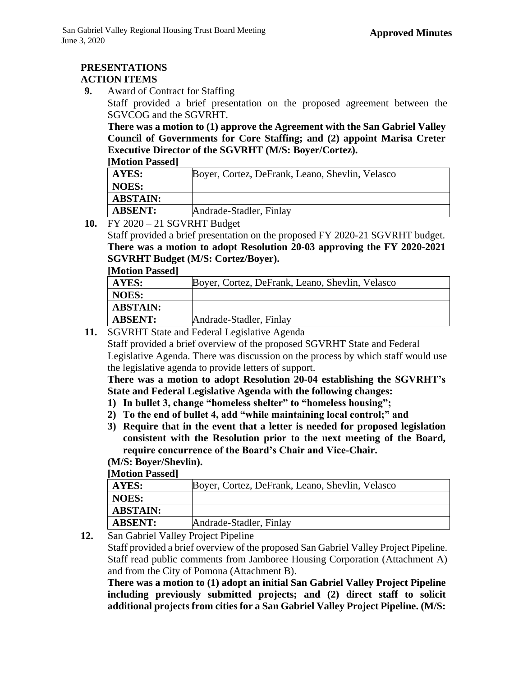# **PRESENTATIONS ACTION ITEMS**

**9.** Award of Contract for Staffing

Staff provided a brief presentation on the proposed agreement between the SGVCOG and the SGVRHT.

**There was a motion to (1) approve the Agreement with the San Gabriel Valley Council of Governments for Core Staffing; and (2) appoint Marisa Creter Executive Director of the SGVRHT (M/S: Boyer/Cortez).**

**[Motion Passed]**

| TIMONIUM T APPLAT |                                                 |
|-------------------|-------------------------------------------------|
| AYES:             | Boyer, Cortez, DeFrank, Leano, Shevlin, Velasco |
| <b>NOES:</b>      |                                                 |
| <b>ABSTAIN:</b>   |                                                 |
| <b>ABSENT:</b>    | Andrade-Stadler, Finlay                         |
|                   |                                                 |

**10.** FY 2020 – 21 SGVRHT Budget

Staff provided a brief presentation on the proposed FY 2020-21 SGVRHT budget. **There was a motion to adopt Resolution 20-03 approving the FY 2020-2021 SGVRHT Budget (M/S: Cortez/Boyer).** 

**[Motion Passed]**

| $10000111$ asseq |                                                 |
|------------------|-------------------------------------------------|
| AYES:            | Boyer, Cortez, DeFrank, Leano, Shevlin, Velasco |
| <b>NOES:</b>     |                                                 |
| <b>ABSTAIN:</b>  |                                                 |
| <b>ABSENT:</b>   | Andrade-Stadler, Finlay                         |
|                  |                                                 |

**11.** SGVRHT State and Federal Legislative Agenda

Staff provided a brief overview of the proposed SGVRHT State and Federal Legislative Agenda. There was discussion on the process by which staff would use the legislative agenda to provide letters of support.

**There was a motion to adopt Resolution 20-04 establishing the SGVRHT's State and Federal Legislative Agenda with the following changes:** 

- **1) In bullet 3, change "homeless shelter" to "homeless housing";**
- **2) To the end of bullet 4, add "while maintaining local control;" and**
- **3) Require that in the event that a letter is needed for proposed legislation consistent with the Resolution prior to the next meeting of the Board, require concurrence of the Board's Chair and Vice-Chair.**

**(M/S: Boyer/Shevlin).** 

#### **[Motion Passed]**

| .               |                                                 |
|-----------------|-------------------------------------------------|
| AYES:           | Boyer, Cortez, DeFrank, Leano, Shevlin, Velasco |
| NOES:           |                                                 |
| <b>ABSTAIN:</b> |                                                 |
| <b>ABSENT:</b>  | Andrade-Stadler, Finlay                         |

**12.** San Gabriel Valley Project Pipeline

Staff provided a brief overview of the proposed San Gabriel Valley Project Pipeline. Staff read public comments from Jamboree Housing Corporation (Attachment A) and from the City of Pomona (Attachment B).

**There was a motion to (1) adopt an initial San Gabriel Valley Project Pipeline including previously submitted projects; and (2) direct staff to solicit additional projects from cities for a San Gabriel Valley Project Pipeline. (M/S:**